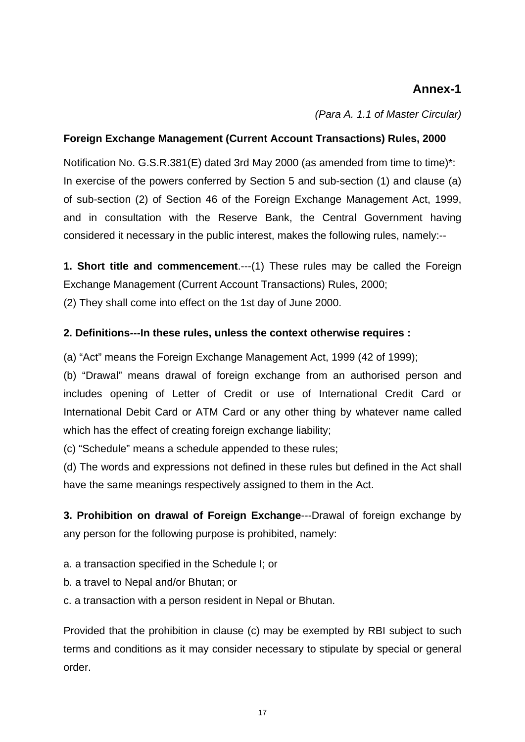# **Annex-1**

*(Para A. 1.1 of Master Circular)*

## **Foreign Exchange Management (Current Account Transactions) Rules, 2000**

Notification No. G.S.R.381(E) dated 3rd May 2000 (as amended from time to time)\*: In exercise of the powers conferred by Section 5 and sub-section (1) and clause (a) of sub-section (2) of Section 46 of the Foreign Exchange Management Act, 1999, and in consultation with the Reserve Bank, the Central Government having considered it necessary in the public interest, makes the following rules, namely:--

**1. Short title and commencement**.---(1) These rules may be called the Foreign Exchange Management (Current Account Transactions) Rules, 2000;

(2) They shall come into effect on the 1st day of June 2000.

## **2. Definitions---In these rules, unless the context otherwise requires :**

(a) "Act" means the Foreign Exchange Management Act, 1999 (42 of 1999);

(b) "Drawal" means drawal of foreign exchange from an authorised person and includes opening of Letter of Credit or use of International Credit Card or International Debit Card or ATM Card or any other thing by whatever name called which has the effect of creating foreign exchange liability;

(c) "Schedule" means a schedule appended to these rules;

(d) The words and expressions not defined in these rules but defined in the Act shall have the same meanings respectively assigned to them in the Act.

**3. Prohibition on drawal of Foreign Exchange**---Drawal of foreign exchange by any person for the following purpose is prohibited, namely:

- a. a transaction specified in the Schedule I; or
- b. a travel to Nepal and/or Bhutan; or
- c. a transaction with a person resident in Nepal or Bhutan.

Provided that the prohibition in clause (c) may be exempted by RBI subject to such terms and conditions as it may consider necessary to stipulate by special or general order.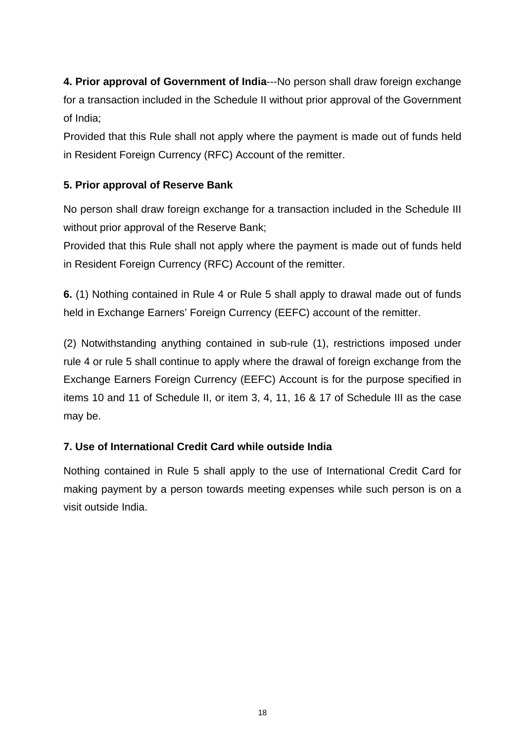**4. Prior approval of Government of India**---No person shall draw foreign exchange for a transaction included in the Schedule II without prior approval of the Government of India;

Provided that this Rule shall not apply where the payment is made out of funds held in Resident Foreign Currency (RFC) Account of the remitter.

## **5. Prior approval of Reserve Bank**

No person shall draw foreign exchange for a transaction included in the Schedule III without prior approval of the Reserve Bank;

Provided that this Rule shall not apply where the payment is made out of funds held in Resident Foreign Currency (RFC) Account of the remitter.

**6.** (1) Nothing contained in Rule 4 or Rule 5 shall apply to drawal made out of funds held in Exchange Earners' Foreign Currency (EEFC) account of the remitter.

(2) Notwithstanding anything contained in sub-rule (1), restrictions imposed under rule 4 or rule 5 shall continue to apply where the drawal of foreign exchange from the Exchange Earners Foreign Currency (EEFC) Account is for the purpose specified in items 10 and 11 of Schedule II, or item 3, 4, 11, 16 & 17 of Schedule III as the case may be.

## **7. Use of International Credit Card while outside India**

Nothing contained in Rule 5 shall apply to the use of International Credit Card for making payment by a person towards meeting expenses while such person is on a visit outside India.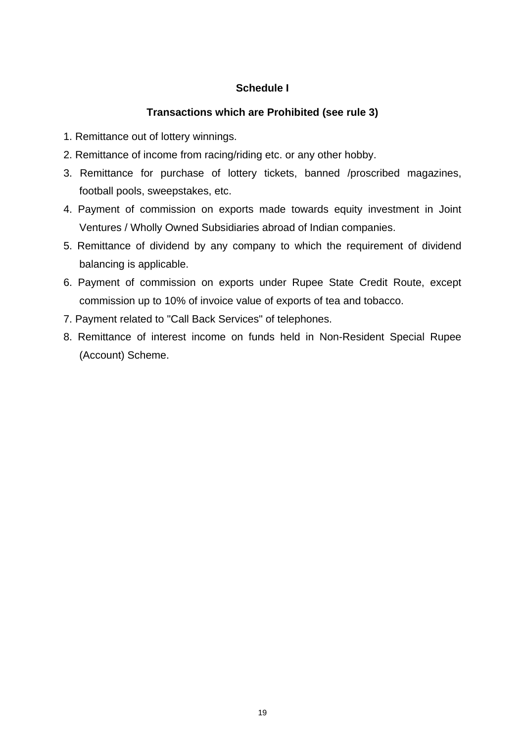## **Schedule I**

## **Transactions which are Prohibited (see rule 3)**

- 1. Remittance out of lottery winnings.
- 2. Remittance of income from racing/riding etc. or any other hobby.
- 3. Remittance for purchase of lottery tickets, banned /proscribed magazines, football pools, sweepstakes, etc.
- 4. Payment of commission on exports made towards equity investment in Joint Ventures / Wholly Owned Subsidiaries abroad of Indian companies.
- 5. Remittance of dividend by any company to which the requirement of dividend balancing is applicable.
- 6. Payment of commission on exports under Rupee State Credit Route, except commission up to 10% of invoice value of exports of tea and tobacco.
- 7. Payment related to "Call Back Services" of telephones.
- 8. Remittance of interest income on funds held in Non-Resident Special Rupee (Account) Scheme.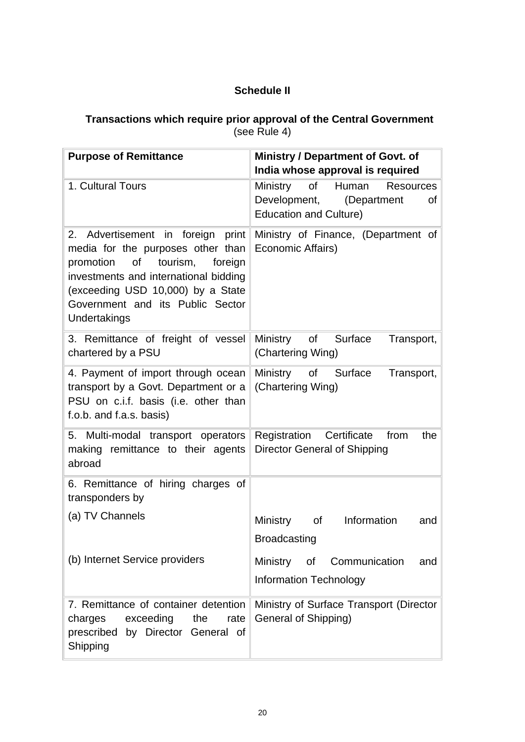## **Schedule II**

### **Transactions which require prior approval of the Central Government**  (see Rule 4)

| <b>Purpose of Remittance</b>                                                                                                                                                                                                                       | Ministry / Department of Govt. of<br>India whose approval is required                                             |
|----------------------------------------------------------------------------------------------------------------------------------------------------------------------------------------------------------------------------------------------------|-------------------------------------------------------------------------------------------------------------------|
| 1. Cultural Tours                                                                                                                                                                                                                                  | Ministry<br>Human<br>of<br><b>Resources</b><br>Development,<br>(Department<br>of<br><b>Education and Culture)</b> |
| Advertisement in foreign print<br>2.<br>media for the purposes other than<br>promotion of<br>tourism,<br>foreign<br>investments and international bidding<br>(exceeding USD 10,000) by a State<br>Government and its Public Sector<br>Undertakings | Ministry of Finance, (Department of<br>Economic Affairs)                                                          |
| 3. Remittance of freight of vessel<br>chartered by a PSU                                                                                                                                                                                           | Ministry of Surface<br>Transport,<br>(Chartering Wing)                                                            |
| 4. Payment of import through ocean<br>transport by a Govt. Department or a<br>PSU on c.i.f. basis (i.e. other than<br>f.o.b. and f.a.s. basis)                                                                                                     | Ministry of Surface<br>Transport,<br>(Chartering Wing)                                                            |
| 5. Multi-modal transport operators<br>making remittance to their agents<br>abroad                                                                                                                                                                  | Registration Certificate<br>from<br>the<br>Director General of Shipping                                           |
| 6. Remittance of hiring charges of<br>transponders by                                                                                                                                                                                              |                                                                                                                   |
| (a) TV Channels                                                                                                                                                                                                                                    | Information<br>Ministry of<br>and<br><b>Broadcasting</b>                                                          |
| (b) Internet Service providers                                                                                                                                                                                                                     | Ministry<br>Communication<br>of<br>and<br><b>Information Technology</b>                                           |
| 7. Remittance of container detention<br>exceeding<br>the<br>charges<br>rate<br>prescribed by Director General of<br>Shipping                                                                                                                       | Ministry of Surface Transport (Director<br>General of Shipping)                                                   |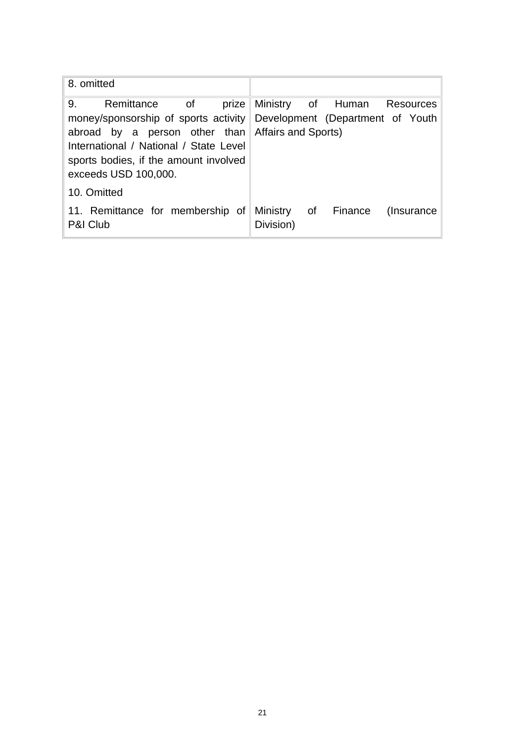| 8. omitted                                                                                                                                                         |                                                                                                                          |
|--------------------------------------------------------------------------------------------------------------------------------------------------------------------|--------------------------------------------------------------------------------------------------------------------------|
| 9.<br>abroad by a person other than Affairs and Sports)<br>International / National / State Level<br>sports bodies, if the amount involved<br>exceeds USD 100,000. | Remittance of prize Ministry of Human Resources<br>money/sponsorship of sports activity Development (Department of Youth |
| 10. Omitted                                                                                                                                                        |                                                                                                                          |
| P&I Club                                                                                                                                                           | 11. Remittance for membership of Ministry of Finance (Insurance<br>Division)                                             |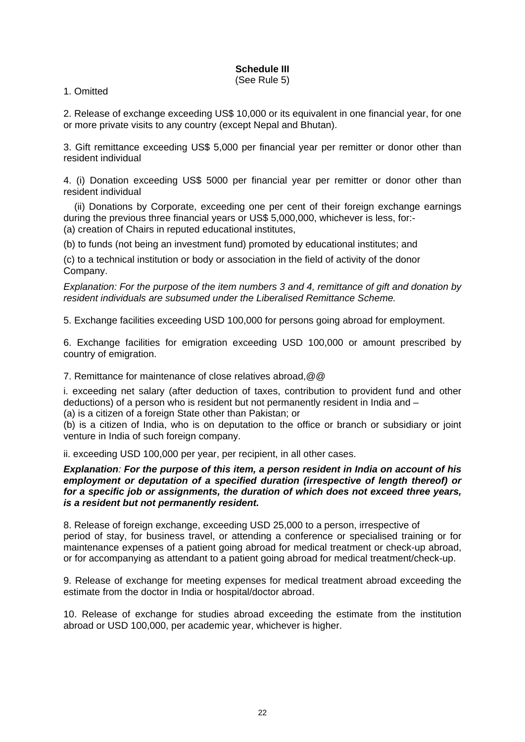# **Schedule III**

(See Rule 5)

#### 1. Omitted

2. Release of exchange exceeding US\$ 10,000 or its equivalent in one financial year, for one or more private visits to any country (except Nepal and Bhutan).

3. Gift remittance exceeding US\$ 5,000 per financial year per remitter or donor other than resident individual

4. (i) Donation exceeding US\$ 5000 per financial year per remitter or donor other than resident individual

 (ii) Donations by Corporate, exceeding one per cent of their foreign exchange earnings during the previous three financial years or US\$ 5,000,000, whichever is less, for:- (a) creation of Chairs in reputed educational institutes,

(b) to funds (not being an investment fund) promoted by educational institutes; and

(c) to a technical institution or body or association in the field of activity of the donor Company.

*Explanation: For the purpose of the item numbers 3 and 4, remittance of gift and donation by resident individuals are subsumed under the Liberalised Remittance Scheme.* 

5. Exchange facilities exceeding USD 100,000 for persons going abroad for employment.

6. Exchange facilities for emigration exceeding USD 100,000 or amount prescribed by country of emigration.

7. Remittance for maintenance of close relatives abroad,@@

i. exceeding net salary (after deduction of taxes, contribution to provident fund and other deductions) of a person who is resident but not permanently resident in India and –

(a) is a citizen of a foreign State other than Pakistan; or

(b) is a citizen of India, who is on deputation to the office or branch or subsidiary or joint venture in India of such foreign company.

ii. exceeding USD 100,000 per year, per recipient, in all other cases.

#### *Explanation: For the purpose of this item, a person resident in India on account of his employment or deputation of a specified duration (irrespective of length thereof) or for a specific job or assignments, the duration of which does not exceed three years, is a resident but not permanently resident.*

8. Release of foreign exchange, exceeding USD 25,000 to a person, irrespective of period of stay, for business travel, or attending a conference or specialised training or for maintenance expenses of a patient going abroad for medical treatment or check-up abroad, or for accompanying as attendant to a patient going abroad for medical treatment/check-up.

9. Release of exchange for meeting expenses for medical treatment abroad exceeding the estimate from the doctor in India or hospital/doctor abroad.

10. Release of exchange for studies abroad exceeding the estimate from the institution abroad or USD 100,000, per academic year, whichever is higher.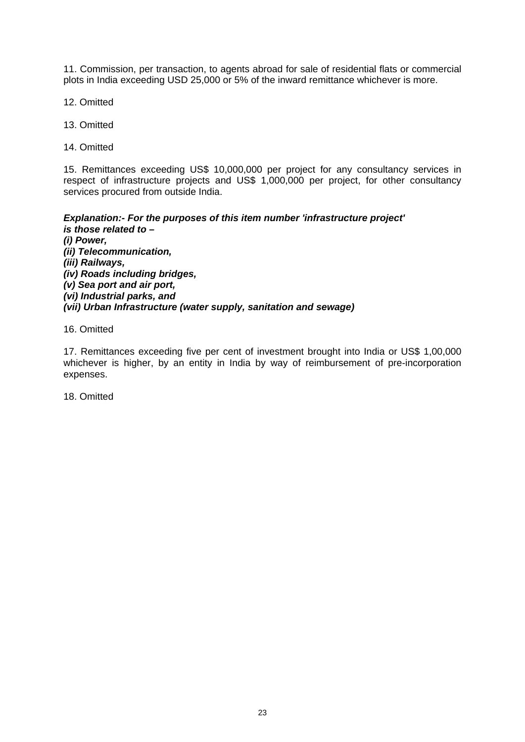11. Commission, per transaction, to agents abroad for sale of residential flats or commercial plots in India exceeding USD 25,000 or 5% of the inward remittance whichever is more.

12. Omitted

13. Omitted

14. Omitted

15. Remittances exceeding US\$ 10,000,000 per project for any consultancy services in respect of infrastructure projects and US\$ 1,000,000 per project, for other consultancy services procured from outside India.

*Explanation:- For the purposes of this item number 'infrastructure project' is those related to – (i) Power, (ii) Telecommunication, (iii) Railways, (iv) Roads including bridges, (v) Sea port and air port, (vi) Industrial parks, and (vii) Urban Infrastructure (water supply, sanitation and sewage)* 

16. Omitted

17. Remittances exceeding five per cent of investment brought into India or US\$ 1,00,000 whichever is higher, by an entity in India by way of reimbursement of pre-incorporation expenses.

18. Omitted